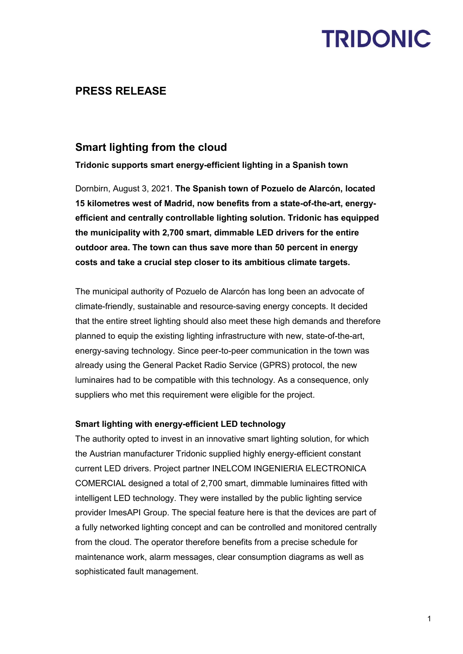## **TRIDONIC**

### **PRESS RELEASE**

### **Smart lighting from the cloud**

**Tridonic supports smart energy-efficient lighting in a Spanish town**

Dornbirn, August 3, 2021. **The Spanish town of Pozuelo de Alarcón, located 15 kilometres west of Madrid, now benefits from a state-of-the-art, energyefficient and centrally controllable lighting solution. Tridonic has equipped the municipality with 2,700 smart, dimmable LED drivers for the entire outdoor area. The town can thus save more than 50 percent in energy costs and take a crucial step closer to its ambitious climate targets.**

The municipal authority of Pozuelo de Alarcón has long been an advocate of climate-friendly, sustainable and resource-saving energy concepts. It decided that the entire street lighting should also meet these high demands and therefore planned to equip the existing lighting infrastructure with new, state-of-the-art, energy-saving technology. Since peer-to-peer communication in the town was already using the General Packet Radio Service (GPRS) protocol, the new luminaires had to be compatible with this technology. As a consequence, only suppliers who met this requirement were eligible for the project.

### **Smart lighting with energy-efficient LED technology**

The authority opted to invest in an innovative smart lighting solution, for which the Austrian manufacturer Tridonic supplied highly energy-efficient constant current LED drivers. Project partner INELCOM INGENIERIA ELECTRONICA COMERCIAL designed a total of 2,700 smart, dimmable luminaires fitted with intelligent LED technology. They were installed by the public lighting service provider ImesAPI Group. The special feature here is that the devices are part of a fully networked lighting concept and can be controlled and monitored centrally from the cloud. The operator therefore benefits from a precise schedule for maintenance work, alarm messages, clear consumption diagrams as well as sophisticated fault management.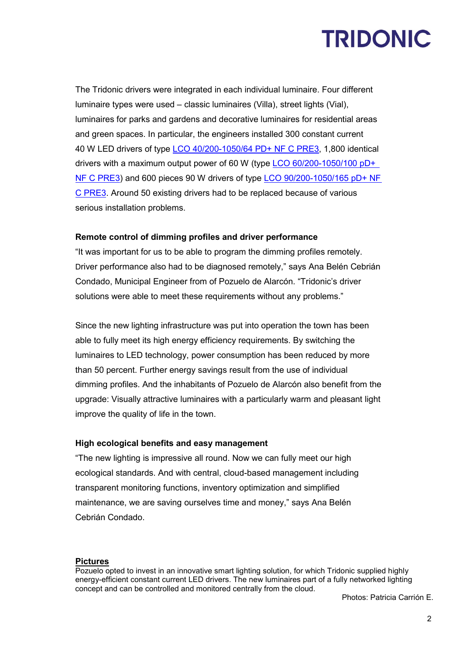## **TRIDONIC**

The Tridonic drivers were integrated in each individual luminaire. Four different luminaire types were used – classic luminaires (Villa), street lights (Vial), luminaires for parks and gardens and decorative luminaires for residential areas and green spaces. In particular, the engineers installed 300 constant current 40 W LED drivers of type [LCO 40/200-1050/64 PD+ NF C PRE3,](https://www.tridonic.com/com/de/products/led-treiber-lco-40w-200-1050ma-pdplus-nfc-pre3.asp) 1,800 identical drivers with a maximum output power of 60 W (type [LCO 60/200-1050/100](https://www.tridonic.com/com/de/products/led-treiber-lco-60w-200-1050ma-pdplus-nfc-pre3.asp) pD+ [NF C PRE3\)](https://www.tridonic.com/com/de/products/led-treiber-lco-60w-200-1050ma-pdplus-nfc-pre3.asp) and 600 pieces 90 W drivers of type [LCO 90/200-1050/165](https://www.tridonic.com/com/de/products/led-treiber-lco-90w-200-1050ma-pdplus-nfc-pre3.asp) pD+ NF [C PRE3.](https://www.tridonic.com/com/de/products/led-treiber-lco-90w-200-1050ma-pdplus-nfc-pre3.asp) Around 50 existing drivers had to be replaced because of various serious installation problems.

#### **Remote control of dimming profiles and driver performance**

"It was important for us to be able to program the dimming profiles remotely. Driver performance also had to be diagnosed remotely," says Ana Belén Cebrián Condado, Municipal Engineer from of Pozuelo de Alarcón. "Tridonic's driver solutions were able to meet these requirements without any problems."

Since the new lighting infrastructure was put into operation the town has been able to fully meet its high energy efficiency requirements. By switching the luminaires to LED technology, power consumption has been reduced by more than 50 percent. Further energy savings result from the use of individual dimming profiles. And the inhabitants of Pozuelo de Alarcón also benefit from the upgrade: Visually attractive luminaires with a particularly warm and pleasant light improve the quality of life in the town.

#### **High ecological benefits and easy management**

"The new lighting is impressive all round. Now we can fully meet our high ecological standards. And with central, cloud-based management including transparent monitoring functions, inventory optimization and simplified maintenance, we are saving ourselves time and money," says Ana Belén Cebrián Condado.

#### **Pictures**

Pozuelo opted to invest in an innovative smart lighting solution, for which Tridonic supplied highly energy-efficient constant current LED drivers. The new luminaires part of a fully networked lighting concept and can be controlled and monitored centrally from the cloud.